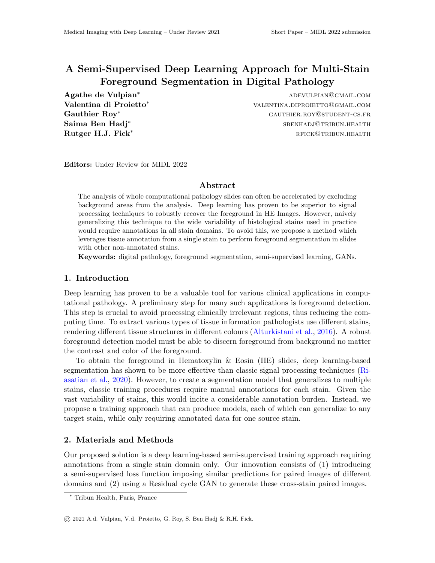# A Semi-Supervised Deep Learning Approach for Multi-Stain Foreground Segmentation in Digital Pathology

Saima Ben Hadj<sup>∗</sup>

Agathe de Vulpian<sup>∗</sup> adevulpian<sup>∗</sup> adevulpian⊚gmail.com Valentina di Proietto<sup>\*</sup> valentina.diproietto<sup>\*</sup> valentina.diproietto<sup>\*</sup> Gauthier Roy<sup>∗</sup> GAUTHIER.ROY<sup>@</sup>STUDENT-CS.FR sbenhadj@tribun.health Rutger H.J. Fick\* rfick\* research research research research research research research research research research r

Editors: Under Review for MIDL 2022

#### Abstract

The analysis of whole computational pathology slides can often be accelerated by excluding background areas from the analysis. Deep learning has proven to be superior to signal processing techniques to robustly recover the foreground in HE Images. However, naively generalizing this technique to the wide variability of histological stains used in practice would require annotations in all stain domains. To avoid this, we propose a method which leverages tissue annotation from a single stain to perform foreground segmentation in slides with other non-annotated stains.

Keywords: digital pathology, foreground segmentation, semi-supervised learning, GANs.

## 1. Introduction

Deep learning has proven to be a valuable tool for various clinical applications in computational pathology. A preliminary step for many such applications is foreground detection. This step is crucial to avoid processing clinically irrelevant regions, thus reducing the computing time. To extract various types of tissue information pathologists use different stains, rendering different tissue structures in different colours [\(Alturkistani et al.,](#page-2-0) [2016\)](#page-2-0). A robust foreground detection model must be able to discern foreground from background no matter the contrast and color of the foreground.

To obtain the foreground in Hematoxylin & Eosin (HE) slides, deep learning-based segmentation has shown to be more effective than classic signal processing techniques [\(Ri](#page-2-1)[asatian et al.,](#page-2-1) [2020\)](#page-2-1). However, to create a segmentation model that generalizes to multiple stains, classic training procedures require manual annotations for each stain. Given the vast variability of stains, this would incite a considerable annotation burden. Instead, we propose a training approach that can produce models, each of which can generalize to any target stain, while only requiring annotated data for one source stain.

# 2. Materials and Methods

Our proposed solution is a deep learning-based semi-supervised training approach requiring annotations from a single stain domain only. Our innovation consists of (1) introducing a semi-supervised loss function imposing similar predictions for paired images of different domains and (2) using a Residual cycle GAN to generate these cross-stain paired images.

<sup>∗</sup> Tribun Health, Paris, France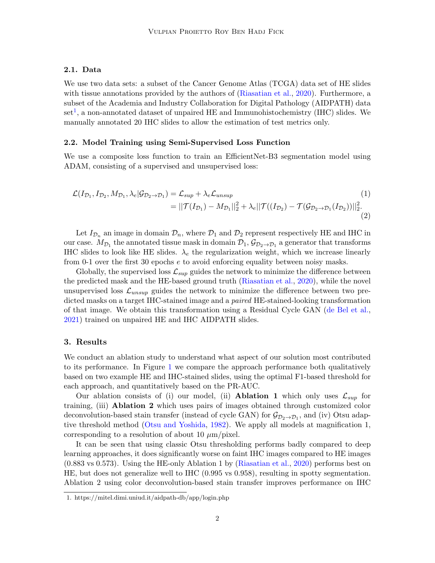# 2.1. Data

We use two data sets: a subset of the Cancer Genome Atlas (TCGA) data set of HE slides with tissue annotations provided by the authors of [\(Riasatian et al.,](#page-2-1) [2020\)](#page-2-1). Furthermore, a subset of the Academia and Industry Collaboration for Digital Pathology (AIDPATH) data set<sup>[1](#page-1-0)</sup>, a non-annotated dataset of unpaired HE and Immunohistochemistry (IHC) slides. We manually annotated 20 IHC slides to allow the estimation of test metrics only.

#### 2.2. Model Training using Semi-Supervised Loss Function

We use a composite loss function to train an EfficientNet-B3 segmentation model using ADAM, consisting of a supervised and unsupervised loss:

$$
\mathcal{L}(I_{\mathcal{D}_1}, I_{\mathcal{D}_2}, M_{\mathcal{D}_1}, \lambda_e | \mathcal{G}_{\mathcal{D}_2 \to \mathcal{D}_1}) = \mathcal{L}_{sup} + \lambda_e \mathcal{L}_{unsup}
$$
\n
$$
= ||\mathcal{T}(I_{\mathcal{D}_1}) - M_{\mathcal{D}_1}||_2^2 + \lambda_e ||\mathcal{T}((I_{\mathcal{D}_2}) - \mathcal{T}(\mathcal{G}_{\mathcal{D}_2 \to \mathcal{D}_1}(I_{\mathcal{D}_2}))||_2^2.
$$
\n(1)

Let  $I_{\mathcal{D}_n}$  an image in domain  $\mathcal{D}_n$ , where  $\mathcal{D}_1$  and  $\mathcal{D}_2$  represent respectively HE and IHC in our case.  $M_{\mathcal{D}_1}$  the annotated tissue mask in domain  $\mathcal{D}_1$ ,  $\mathcal{G}_{\mathcal{D}_2\to\mathcal{D}_1}$  a generator that transforms IHC slides to look like HE slides.  $\lambda_e$  the regularization weight, which we increase linearly from 0-1 over the first 30 epochs e to avoid enforcing equality between noisy masks.

Globally, the supervised loss  $\mathcal{L}_{sup}$  guides the network to minimize the difference between the predicted mask and the HE-based ground truth [\(Riasatian et al.,](#page-2-1) [2020\)](#page-2-1), while the novel unsupervised loss  $\mathcal{L}_{unsup}$  guides the network to minimize the difference between two predicted masks on a target IHC-stained image and a *paired* HE-stained-looking transformation of that image. We obtain this transformation using a Residual Cycle GAN [\(de Bel et al.,](#page-2-2) [2021\)](#page-2-2) trained on unpaired HE and IHC AIDPATH slides.

#### 3. Results

We conduct an ablation study to understand what aspect of our solution most contributed to its performance. In Figure [1](#page-2-3) we compare the approach performance both qualitatively based on two example HE and IHC-stained slides, using the optimal F1-based threshold for each approach, and quantitatively based on the PR-AUC.

Our ablation consists of (i) our model, (ii) **Ablation 1** which only uses  $\mathcal{L}_{sup}$  for training, (iii) Ablation 2 which uses pairs of images obtained through customized color deconvolution-based stain transfer (instead of cycle GAN) for  $\mathcal{G}_{\mathcal{D}_2 \to \mathcal{D}_1}$ , and (iv) Otsu adaptive threshold method [\(Otsu and Yoshida,](#page-2-4) [1982\)](#page-2-4). We apply all models at magnification 1, corresponding to a resolution of about 10  $\mu$ m/pixel.

It can be seen that using classic Otsu thresholding performs badly compared to deep learning approaches, it does significantly worse on faint IHC images compared to HE images (0.883 vs 0.573). Using the HE-only Ablation 1 by [\(Riasatian et al.,](#page-2-1) [2020\)](#page-2-1) performs best on HE, but does not generalize well to IHC (0.995 vs 0.958), resulting in spotty segmentation. Ablation 2 using color deconvolution-based stain transfer improves performance on IHC

<span id="page-1-0"></span><sup>1.</sup> https://mitel.dimi.uniud.it/aidpath-db/app/login.php